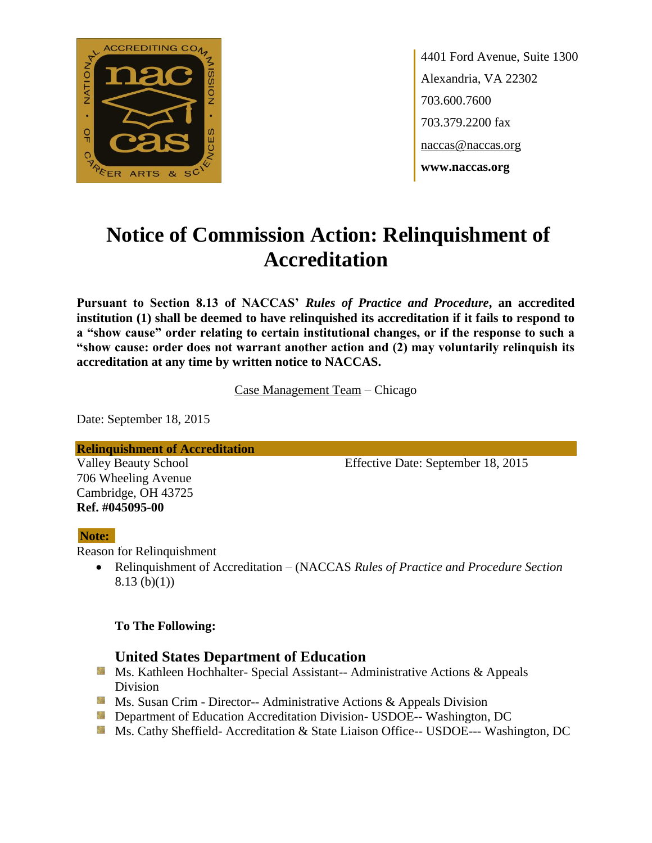

4401 Ford Avenue, Suite 1300 Alexandria, VA 22302 703.600.7600 703.379.2200 fax naccas@naccas.org **www.naccas.org**

# **Notice of Commission Action: Relinquishment of Accreditation**

**Pursuant to Section 8.13 of NACCAS'** *Rules of Practice and Procedure***, an accredited institution (1) shall be deemed to have relinquished its accreditation if it fails to respond to a "show cause" order relating to certain institutional changes, or if the response to such a "show cause: order does not warrant another action and (2) may voluntarily relinquish its accreditation at any time by written notice to NACCAS.**

Case Management Team – Chicago

Date: September 18, 2015

**Relinquishment of Accreditation**

706 Wheeling Avenue Cambridge, OH 43725 **Ref. #045095-00**

Valley Beauty School Effective Date: September 18, 2015

#### **Note:**

Reason for Relinquishment

 Relinquishment of Accreditation – (NACCAS *Rules of Practice and Procedure Section*  8.13 (b)(1))

#### **To The Following:**

### **United States Department of Education**

- **Ms. Kathleen Hochhalter- Special Assistant-- Administrative Actions & Appeals** Division
- **Ms. Susan Crim Director-- Administrative Actions & Appeals Division**
- **Department of Education Accreditation Division- USDOE-- Washington, DC**
- Ms. Cathy Sheffield- Accreditation & State Liaison Office-- USDOE--- Washington, DC